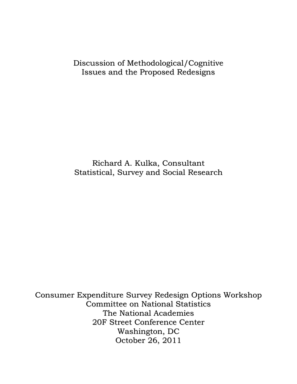# Discussion of Methodological/Cognitive Issues and the Proposed Redesigns

# Richard A. Kulka, Consultant Statistical, Survey and Social Research

Consumer Expenditure Survey Redesign Options Workshop Committee on National Statistics The National Academies 20F Street Conference Center Washington, DC October 26, 2011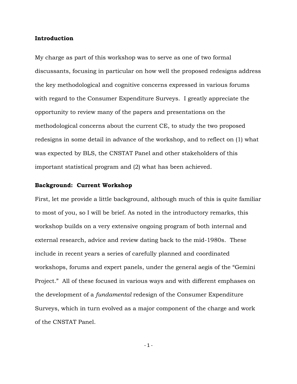#### **Introduction**

My charge as part of this workshop was to serve as one of two formal discussants, focusing in particular on how well the proposed redesigns address the key methodological and cognitive concerns expressed in various forums with regard to the Consumer Expenditure Surveys. I greatly appreciate the opportunity to review many of the papers and presentations on the methodological concerns about the current CE, to study the two proposed redesigns in some detail in advance of the workshop, and to reflect on (1) what was expected by BLS, the CNSTAT Panel and other stakeholders of this important statistical program and (2) what has been achieved.

#### **Background: Current Workshop**

First, let me provide a little background, although much of this is quite familiar to most of you, so I will be brief. As noted in the introductory remarks, this workshop builds on a very extensive ongoing program of both internal and external research, advice and review dating back to the mid-1980s. These include in recent years a series of carefully planned and coordinated workshops, forums and expert panels, under the general aegis of the "Gemini Project." All of these focused in various ways and with different emphases on the development of a *fundamental* redesign of the Consumer Expenditure Surveys, which in turn evolved as a major component of the charge and work of the CNSTAT Panel.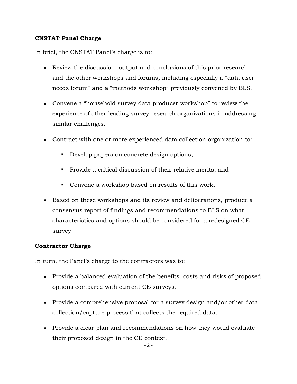### **CNSTAT Panel Charge**

In brief, the CNSTAT Panel's charge is to:

- Review the discussion, output and conclusions of this prior research, and the other workshops and forums, including especially a "data user needs forum" and a "methods workshop" previously convened by BLS.
- Convene a "household survey data producer workshop" to review the experience of other leading survey research organizations in addressing similar challenges.
- Contract with one or more experienced data collection organization to:
	- Develop papers on concrete design options,
	- **Provide a critical discussion of their relative merits, and**
	- Convene a workshop based on results of this work.
- Based on these workshops and its review and deliberations, produce a consensus report of findings and recommendations to BLS on what characteristics and options should be considered for a redesigned CE survey.

### **Contractor Charge**

In turn, the Panel's charge to the contractors was to:

- Provide a balanced evaluation of the benefits, costs and risks of proposed options compared with current CE surveys.
- Provide a comprehensive proposal for a survey design and/or other data collection/capture process that collects the required data.
- Provide a clear plan and recommendations on how they would evaluate their proposed design in the CE context.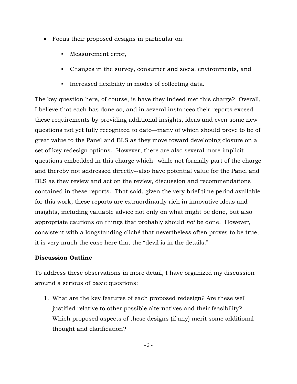- Focus their proposed designs in particular on:
	- **Measurement error,**
	- Changes in the survey, consumer and social environments, and
	- **Increased flexibility in modes of collecting data.**

The key question here, of course, is have they indeed met this charge? Overall, I believe that each has done so, and in several instances their reports exceed these requirements by providing additional insights, ideas and even some new questions not yet fully recognized to date—many of which should prove to be of great value to the Panel and BLS as they move toward developing closure on a set of key redesign options. However, there are also several more implicit questions embedded in this charge which--while not formally part of the charge and thereby not addressed directly--also have potential value for the Panel and BLS as they review and act on the review, discussion and recommendations contained in these reports. That said, given the very brief time period available for this work, these reports are extraordinarily rich in innovative ideas and insights, including valuable advice not only on what might be done, but also appropriate cautions on things that probably should *not* be done. However, consistent with a longstanding cliché that nevertheless often proves to be true, it is very much the case here that the "devil is in the details."

#### **Discussion Outline**

To address these observations in more detail, I have organized my discussion around a serious of basic questions:

1. What are the key features of each proposed redesign? Are these well justified relative to other possible alternatives and their feasibility? Which proposed aspects of these designs (if any) merit some additional thought and clarification?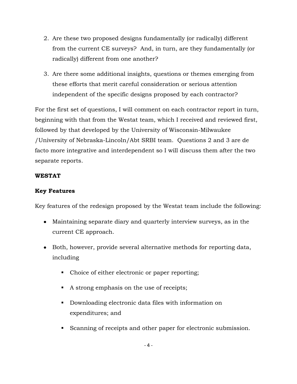- 2. Are these two proposed designs fundamentally (or radically) different from the current CE surveys? And, in turn, are they fundamentally (or radically) different from one another?
- 3. Are there some additional insights, questions or themes emerging from these efforts that merit careful consideration or serious attention independent of the specific designs proposed by each contractor?

For the first set of questions, I will comment on each contractor report in turn, beginning with that from the Westat team, which I received and reviewed first, followed by that developed by the University of Wisconsin-Milwaukee /University of Nebraska-Lincoln/Abt SRBI team. Questions 2 and 3 are de facto more integrative and interdependent so I will discuss them after the two separate reports.

### **WESTAT**

# **Key Features**

Key features of the redesign proposed by the Westat team include the following:

- Maintaining separate diary and quarterly interview surveys, as in the current CE approach.
- Both, however, provide several alternative methods for reporting data, including
	- Choice of either electronic or paper reporting;
	- A strong emphasis on the use of receipts;
	- Downloading electronic data files with information on expenditures; and
	- Scanning of receipts and other paper for electronic submission.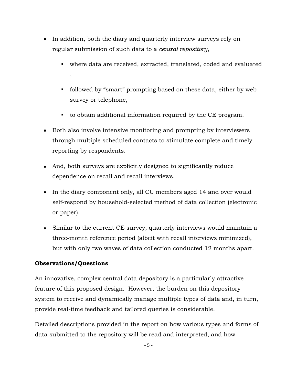- In addition, both the diary and quarterly interview surveys rely on regular submission of such data to a *central repository*,
	- where data are received, extracted, translated, coded and evaluated ,
	- followed by "smart" prompting based on these data, either by web survey or telephone,
	- to obtain additional information required by the CE program.
- Both also involve intensive monitoring and prompting by interviewers through multiple scheduled contacts to stimulate complete and timely reporting by respondents.
- And, both surveys are explicitly designed to significantly reduce dependence on recall and recall interviews.
- In the diary component only, all CU members aged 14 and over would self-respond by household-selected method of data collection (electronic or paper).
- Similar to the current CE survey, quarterly interviews would maintain a three-month reference period (albeit with recall interviews minimized), but with only two waves of data collection conducted 12 months apart.

# **Observations/Questions**

An innovative, complex central data depository is a particularly attractive feature of this proposed design. However, the burden on this depository system to receive and dynamically manage multiple types of data and, in turn, provide real-time feedback and tailored queries is considerable.

Detailed descriptions provided in the report on how various types and forms of data submitted to the repository will be read and interpreted, and how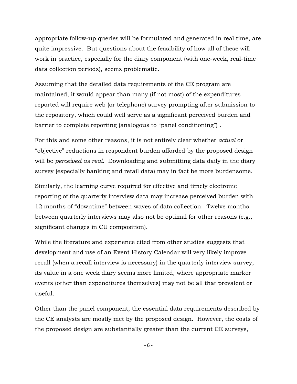appropriate follow-up queries will be formulated and generated in real time, are quite impressive. But questions about the feasibility of how all of these will work in practice, especially for the diary component (with one-week, real-time data collection periods), seems problematic.

Assuming that the detailed data requirements of the CE program are maintained, it would appear than many (if not most) of the expenditures reported will require web (or telephone) survey prompting after submission to the repository, which could well serve as a significant perceived burden and barrier to complete reporting (analogous to "panel conditioning") .

For this and some other reasons, it is not entirely clear whether *actual* or "objective" reductions in respondent burden afforded by the proposed design will be *perceived as real*. Downloading and submitting data daily in the diary survey (especially banking and retail data) may in fact be more burdensome.

Similarly, the learning curve required for effective and timely electronic reporting of the quarterly interview data may increase perceived burden with 12 months of "downtime" between waves of data collection. Twelve months between quarterly interviews may also not be optimal for other reasons (e.g., significant changes in CU composition).

While the literature and experience cited from other studies suggests that development and use of an Event History Calendar will very likely improve recall (when a recall interview is necessary) in the quarterly interview survey, its value in a one week diary seems more limited, where appropriate marker events (other than expenditures themselves) may not be all that prevalent or useful.

Other than the panel component, the essential data requirements described by the CE analysts are mostly met by the proposed design. However, the costs of the proposed design are substantially greater than the current CE surveys,

- 6 -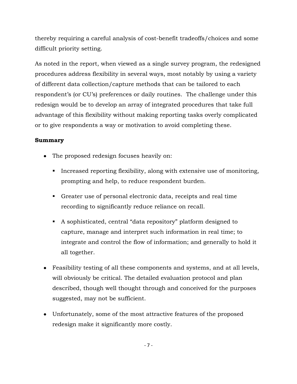thereby requiring a careful analysis of cost-benefit tradeoffs/choices and some difficult priority setting.

As noted in the report, when viewed as a single survey program, the redesigned procedures address flexibility in several ways, most notably by using a variety of different data collection/capture methods that can be tailored to each respondent's (or CU's) preferences or daily routines. The challenge under this redesign would be to develop an array of integrated procedures that take full advantage of this flexibility without making reporting tasks overly complicated or to give respondents a way or motivation to avoid completing these.

### **Summary**

- The proposed redesign focuses heavily on:
	- Increased reporting flexibility, along with extensive use of monitoring, prompting and help, to reduce respondent burden.
	- Greater use of personal electronic data, receipts and real time recording to significantly reduce reliance on recall.
	- A sophisticated, central "data repository" platform designed to capture, manage and interpret such information in real time; to integrate and control the flow of information; and generally to hold it all together.
- Feasibility testing of all these components and systems, and at all levels, will obviously be critical. The detailed evaluation protocol and plan described, though well thought through and conceived for the purposes suggested, may not be sufficient.
- Unfortunately, some of the most attractive features of the proposed redesign make it significantly more costly.

- 7 -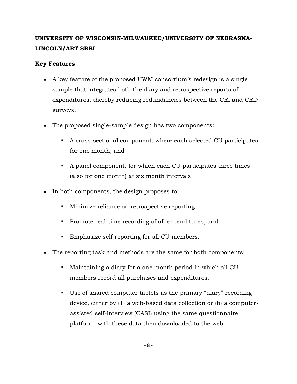# **UNIVERSITY OF WISCONSIN-MILWAUKEE/UNIVERSITY OF NEBRASKA-LINCOLN/ABT SRBI**

### **Key Features**

- A key feature of the proposed UWM consortium's redesign is a single sample that integrates both the diary and retrospective reports of expenditures, thereby reducing redundancies between the CEI and CED surveys.
- The proposed single-sample design has two components:
	- A cross-sectional component, where each selected CU participates for one month, and
	- A panel component, for which each CU participates three times (also for one month) at six month intervals.
- In both components, the design proposes to:
	- Minimize reliance on retrospective reporting,
	- **Promote real-time recording of all expenditures, and**
	- Emphasize self-reporting for all CU members.
- The reporting task and methods are the same for both components:
	- Maintaining a diary for a one month period in which all CU members record all purchases and expenditures.
	- Use of shared computer tablets as the primary "diary" recording device, either by (1) a web-based data collection or (b) a computerassisted self-interview (CASI) using the same questionnaire platform, with these data then downloaded to the web.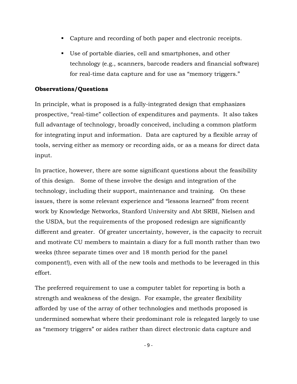- Capture and recording of both paper and electronic receipts.
- Use of portable diaries, cell and smartphones, and other technology (e.g., scanners, barcode readers and financial software) for real-time data capture and for use as "memory triggers."

#### **Observations/Questions**

In principle, what is proposed is a fully-integrated design that emphasizes prospective, "real-time" collection of expenditures and payments. It also takes full advantage of technology, broadly conceived, including a common platform for integrating input and information. Data are captured by a flexible array of tools, serving either as memory or recording aids, or as a means for direct data input.

In practice, however, there are some significant questions about the feasibility of this design. Some of these involve the design and integration of the technology, including their support, maintenance and training. On these issues, there is some relevant experience and "lessons learned" from recent work by Knowledge Networks, Stanford University and Abt SRBI, Nielsen and the USDA, but the requirements of the proposed redesign are significantly different and greater. Of greater uncertainty, however, is the capacity to recruit and motivate CU members to maintain a diary for a full month rather than two weeks (three separate times over and 18 month period for the panel component!), even with all of the new tools and methods to be leveraged in this effort.

The preferred requirement to use a computer tablet for reporting is both a strength and weakness of the design. For example, the greater flexibility afforded by use of the array of other technologies and methods proposed is undermined somewhat where their predominant role is relegated largely to use as "memory triggers" or aides rather than direct electronic data capture and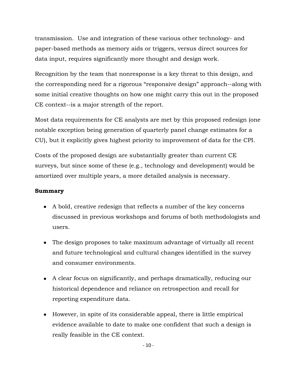transmission. Use and integration of these various other technology- and paper-based methods as memory aids or triggers, versus direct sources for data input, requires significantly more thought and design work.

Recognition by the team that nonresponse is a key threat to this design, and the corresponding need for a rigorous "responsive design" approach--along with some initial creative thoughts on how one might carry this out in the proposed CE context--is a major strength of the report.

Most data requirements for CE analysts are met by this proposed redesign (one notable exception being generation of quarterly panel change estimates for a CU), but it explicitly gives highest priority to improvement of data for the CPI.

Costs of the proposed design are substantially greater than current CE surveys, but since some of these (e.g., technology and development) would be amortized over multiple years, a more detailed analysis is necessary.

## **Summary**

- A bold, creative redesign that reflects a number of the key concerns discussed in previous workshops and forums of both methodologists and users.
- The design proposes to take maximum advantage of virtually all recent and future technological and cultural changes identified in the survey and consumer environments.
- A clear focus on significantly, and perhaps dramatically, reducing our historical dependence and reliance on retrospection and recall for reporting expenditure data.
- However, in spite of its considerable appeal, there is little empirical evidence available to date to make one confident that such a design is really feasible in the CE context.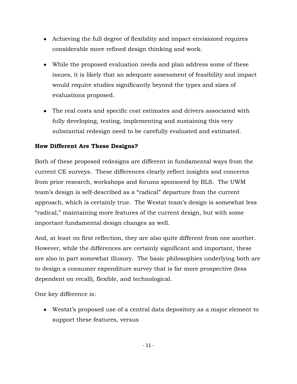- Achieving the full degree of flexibility and impact envisioned requires considerable more refined design thinking and work.
- While the proposed evaluation needs and plan address some of these issues, it is likely that an adequate assessment of feasibility and impact would require studies significantly beyond the types and sizes of evaluations proposed.
- The real costs and specific cost estimates and drivers associated with fully developing, testing, implementing and sustaining this very substantial redesign need to be carefully evaluated and estimated.

# **How Different Are These Designs?**

Both of these proposed redesigns are different in fundamental ways from the current CE surveys. These differences clearly reflect insights and concerns from prior research, workshops and forums sponsored by BLS. The UWM team's design is self-described as a "radical" departure from the current approach, which is certainly true. The Westat team's design is somewhat less "radical," maintaining more features of the current design, but with some important fundamental design changes as well.

And, at least on first reflection, they are also quite different from one another. However, while the differences are certainly significant and important, these are also in part somewhat illusory. The basic philosophies underlying both are to design a consumer expenditure survey that is far more prospective (less dependent on recall), flexible, and technological.

One key difference is:

Westat's proposed use of a central data depository as a major element to support these features, versus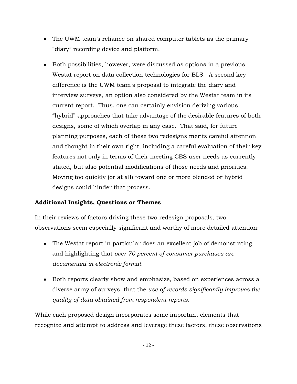- The UWM team's reliance on shared computer tablets as the primary "diary" recording device and platform.
- Both possibilities, however, were discussed as options in a previous Westat report on data collection technologies for BLS. A second key difference is the UWM team's proposal to integrate the diary and interview surveys, an option also considered by the Westat team in its current report. Thus, one can certainly envision deriving various "hybrid" approaches that take advantage of the desirable features of both designs, some of which overlap in any case. That said, for future planning purposes, each of these two redesigns merits careful attention and thought in their own right, including a careful evaluation of their key features not only in terms of their meeting CES user needs as currently stated, but also potential modifications of those needs and priorities. Moving too quickly (or at all) toward one or more blended or hybrid designs could hinder that process.

# **Additional Insights, Questions or Themes**

In their reviews of factors driving these two redesign proposals, two observations seem especially significant and worthy of more detailed attention:

- The Westat report in particular does an excellent job of demonstrating and highlighting that *over 70 percent of consumer purchases are documented in electronic format.*
- Both reports clearly show and emphasize, based on experiences across a diverse array of surveys, that the *use of records significantly improves the quality of data obtained from respondent reports.*

While each proposed design incorporates some important elements that recognize and attempt to address and leverage these factors, these observations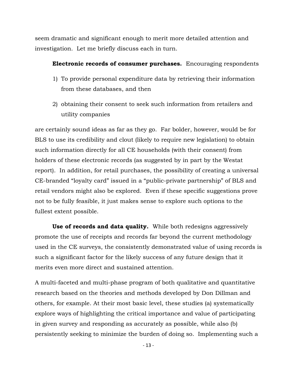seem dramatic and significant enough to merit more detailed attention and investigation. Let me briefly discuss each in turn.

#### **Electronic records of consumer purchases.** Encouraging respondents

- 1) To provide personal expenditure data by retrieving their information from these databases, and then
- 2) obtaining their consent to seek such information from retailers and utility companies

are certainly sound ideas as far as they go. Far bolder, however, would be for BLS to use its credibility and clout (likely to require new legislation) to obtain such information directly for all CE households (with their consent) from holders of these electronic records (as suggested by in part by the Westat report). In addition, for retail purchases, the possibility of creating a universal CE-branded "loyalty card" issued in a "public-private partnership" of BLS and retail vendors might also be explored. Even if these specific suggestions prove not to be fully feasible, it just makes sense to explore such options to the fullest extent possible.

 **Use of records and data quality.** While both redesigns aggressively promote the use of receipts and records far beyond the current methodology used in the CE surveys, the consistently demonstrated value of using records is such a significant factor for the likely success of any future design that it merits even more direct and sustained attention.

A multi-faceted and multi-phase program of both qualitative and quantitative research based on the theories and methods developed by Don Dillman and others, for example. At their most basic level, these studies (a) systematically explore ways of highlighting the critical importance and value of participating in given survey and responding as accurately as possible, while also (b) persistently seeking to minimize the burden of doing so. Implementing such a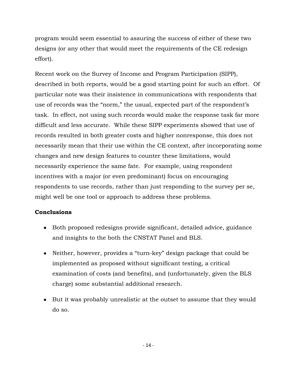program would seem essential to assuring the success of either of these two designs (or any other that would meet the requirements of the CE redesign effort).

Recent work on the Survey of Income and Program Participation (SIPP), described in both reports, would be a good starting point for such an effort. Of particular note was their insistence in communications with respondents that use of records was the "norm," the usual, expected part of the respondent's task. In effect, not using such records would make the response task far more difficult and less accurate. While these SIPP experiments showed that use of records resulted in both greater costs and higher nonresponse, this does not necessarily mean that their use within the CE context, after incorporating some changes and new design features to counter these limitations, would necessarily experience the same fate. For example, using respondent incentives with a major (or even predominant) focus on encouraging respondents to use records, rather than just responding to the survey per se, might well be one tool or approach to address these problems.

### **Conclusions**

- Both proposed redesigns provide significant, detailed advice, guidance and insights to the both the CNSTAT Panel and BLS.
- Neither, however, provides a "turn-key" design package that could be implemented as proposed without significant testing, a critical examination of costs (and benefits), and (unfortunately, given the BLS charge) some substantial additional research.
- But it was probably unrealistic at the outset to assume that they would do so.